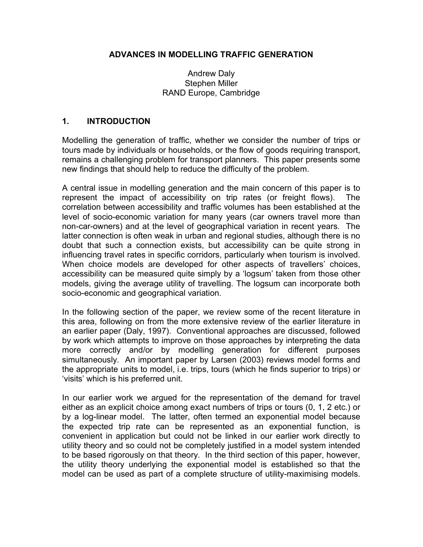#### ADVANCES IN MODELLING TRAFFIC GENERATION

#### Andrew Daly Stephen Miller RAND Europe, Cambridge

#### 1. INTRODUCTION

Modelling the generation of traffic, whether we consider the number of trips or tours made by individuals or households, or the flow of goods requiring transport, remains a challenging problem for transport planners. This paper presents some new findings that should help to reduce the difficulty of the problem.

A central issue in modelling generation and the main concern of this paper is to represent the impact of accessibility on trip rates (or freight flows). The correlation between accessibility and traffic volumes has been established at the level of socio-economic variation for many years (car owners travel more than non-car-owners) and at the level of geographical variation in recent years. The latter connection is often weak in urban and regional studies, although there is no doubt that such a connection exists, but accessibility can be quite strong in influencing travel rates in specific corridors, particularly when tourism is involved. When choice models are developed for other aspects of travellers' choices, accessibility can be measured quite simply by a 'logsum' taken from those other models, giving the average utility of travelling. The logsum can incorporate both socio-economic and geographical variation.

In the following section of the paper, we review some of the recent literature in this area, following on from the more extensive review of the earlier literature in an earlier paper (Daly, 1997). Conventional approaches are discussed, followed by work which attempts to improve on those approaches by interpreting the data more correctly and/or by modelling generation for different purposes simultaneously. An important paper by Larsen (2003) reviews model forms and the appropriate units to model, i.e. trips, tours (which he finds superior to trips) or 'visits' which is his preferred unit.

In our earlier work we argued for the representation of the demand for travel either as an explicit choice among exact numbers of trips or tours (0, 1, 2 etc.) or by a log-linear model. The latter, often termed an exponential model because the expected trip rate can be represented as an exponential function, is convenient in application but could not be linked in our earlier work directly to utility theory and so could not be completely justified in a model system intended to be based rigorously on that theory. In the third section of this paper, however, the utility theory underlying the exponential model is established so that the model can be used as part of a complete structure of utility-maximising models.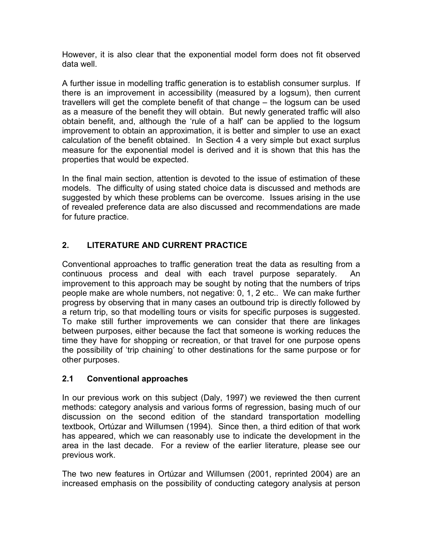However, it is also clear that the exponential model form does not fit observed data well.

A further issue in modelling traffic generation is to establish consumer surplus. If there is an improvement in accessibility (measured by a logsum), then current travellers will get the complete benefit of that change – the logsum can be used as a measure of the benefit they will obtain. But newly generated traffic will also obtain benefit, and, although the 'rule of a half' can be applied to the logsum improvement to obtain an approximation, it is better and simpler to use an exact calculation of the benefit obtained. In Section 4 a very simple but exact surplus measure for the exponential model is derived and it is shown that this has the properties that would be expected.

In the final main section, attention is devoted to the issue of estimation of these models. The difficulty of using stated choice data is discussed and methods are suggested by which these problems can be overcome. Issues arising in the use of revealed preference data are also discussed and recommendations are made for future practice.

# 2. LITERATURE AND CURRENT PRACTICE

Conventional approaches to traffic generation treat the data as resulting from a continuous process and deal with each travel purpose separately. An improvement to this approach may be sought by noting that the numbers of trips people make are whole numbers, not negative: 0, 1, 2 etc.. We can make further progress by observing that in many cases an outbound trip is directly followed by a return trip, so that modelling tours or visits for specific purposes is suggested. To make still further improvements we can consider that there are linkages between purposes, either because the fact that someone is working reduces the time they have for shopping or recreation, or that travel for one purpose opens the possibility of 'trip chaining' to other destinations for the same purpose or for other purposes.

## 2.1 Conventional approaches

In our previous work on this subject (Daly, 1997) we reviewed the then current methods: category analysis and various forms of regression, basing much of our discussion on the second edition of the standard transportation modelling textbook, Ortúzar and Willumsen (1994). Since then, a third edition of that work has appeared, which we can reasonably use to indicate the development in the area in the last decade. For a review of the earlier literature, please see our previous work.

The two new features in Ortúzar and Willumsen (2001, reprinted 2004) are an increased emphasis on the possibility of conducting category analysis at person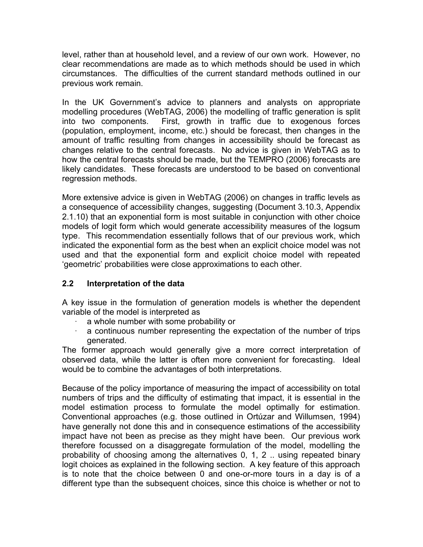level, rather than at household level, and a review of our own work. However, no clear recommendations are made as to which methods should be used in which circumstances. The difficulties of the current standard methods outlined in our previous work remain.

In the UK Government's advice to planners and analysts on appropriate modelling procedures (WebTAG, 2006) the modelling of traffic generation is split into two components. First, growth in traffic due to exogenous forces (population, employment, income, etc.) should be forecast, then changes in the amount of traffic resulting from changes in accessibility should be forecast as changes relative to the central forecasts. No advice is given in WebTAG as to how the central forecasts should be made, but the TEMPRO (2006) forecasts are likely candidates. These forecasts are understood to be based on conventional regression methods.

More extensive advice is given in WebTAG (2006) on changes in traffic levels as a consequence of accessibility changes, suggesting (Document 3.10.3, Appendix 2.1.10) that an exponential form is most suitable in conjunction with other choice models of logit form which would generate accessibility measures of the logsum type. This recommendation essentially follows that of our previous work, which indicated the exponential form as the best when an explicit choice model was not used and that the exponential form and explicit choice model with repeated 'geometric' probabilities were close approximations to each other.

## 2.2 Interpretation of the data

A key issue in the formulation of generation models is whether the dependent variable of the model is interpreted as

- a whole number with some probability or
- a continuous number representing the expectation of the number of trips generated.

The former approach would generally give a more correct interpretation of observed data, while the latter is often more convenient for forecasting. Ideal would be to combine the advantages of both interpretations.

Because of the policy importance of measuring the impact of accessibility on total numbers of trips and the difficulty of estimating that impact, it is essential in the model estimation process to formulate the model optimally for estimation. Conventional approaches (e.g. those outlined in Ortúzar and Willumsen, 1994) have generally not done this and in consequence estimations of the accessibility impact have not been as precise as they might have been. Our previous work therefore focussed on a disaggregate formulation of the model, modelling the probability of choosing among the alternatives 0, 1, 2 .. using repeated binary logit choices as explained in the following section. A key feature of this approach is to note that the choice between 0 and one-or-more tours in a day is of a different type than the subsequent choices, since this choice is whether or not to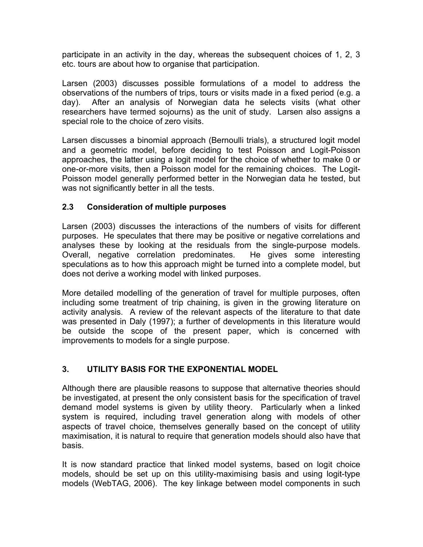participate in an activity in the day, whereas the subsequent choices of 1, 2, 3 etc. tours are about how to organise that participation.

Larsen (2003) discusses possible formulations of a model to address the observations of the numbers of trips, tours or visits made in a fixed period (e.g. a day). After an analysis of Norwegian data he selects visits (what other researchers have termed sojourns) as the unit of study. Larsen also assigns a special role to the choice of zero visits.

Larsen discusses a binomial approach (Bernoulli trials), a structured logit model and a geometric model, before deciding to test Poisson and Logit-Poisson approaches, the latter using a logit model for the choice of whether to make 0 or one-or-more visits, then a Poisson model for the remaining choices. The Logit-Poisson model generally performed better in the Norwegian data he tested, but was not significantly better in all the tests.

## 2.3 Consideration of multiple purposes

Larsen (2003) discusses the interactions of the numbers of visits for different purposes. He speculates that there may be positive or negative correlations and analyses these by looking at the residuals from the single-purpose models. Overall, negative correlation predominates. He gives some interesting speculations as to how this approach might be turned into a complete model, but does not derive a working model with linked purposes.

More detailed modelling of the generation of travel for multiple purposes, often including some treatment of trip chaining, is given in the growing literature on activity analysis. A review of the relevant aspects of the literature to that date was presented in Daly (1997); a further of developments in this literature would be outside the scope of the present paper, which is concerned with improvements to models for a single purpose.

## 3. UTILITY BASIS FOR THE EXPONENTIAL MODEL

Although there are plausible reasons to suppose that alternative theories should be investigated, at present the only consistent basis for the specification of travel demand model systems is given by utility theory. Particularly when a linked system is required, including travel generation along with models of other aspects of travel choice, themselves generally based on the concept of utility maximisation, it is natural to require that generation models should also have that basis.

It is now standard practice that linked model systems, based on logit choice models, should be set up on this utility-maximising basis and using logit-type models (WebTAG, 2006). The key linkage between model components in such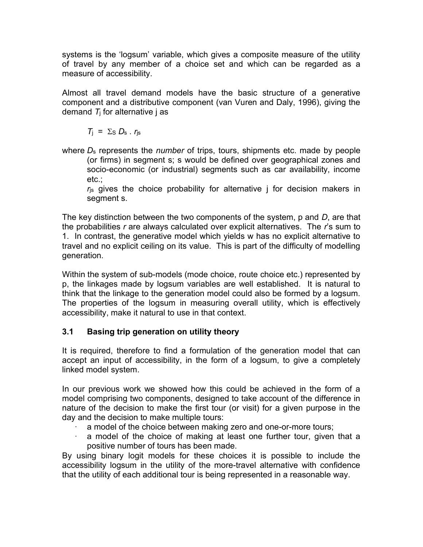systems is the 'logsum' variable, which gives a composite measure of the utility of travel by any member of a choice set and which can be regarded as a measure of accessibility.

Almost all travel demand models have the basic structure of a generative component and a distributive component (van Vuren and Daly, 1996), giving the demand  $T_i$  for alternative j as

 $T_i = \Sigma_S D_s \cdot r_{is}$ 

where  $D_s$  represents the *number* of trips, tours, shipments etc. made by people (or firms) in segment s; s would be defined over geographical zones and socio-economic (or industrial) segments such as car availability, income etc.;

 $r<sub>is</sub>$  gives the choice probability for alternative j for decision makers in segment s.

The key distinction between the two components of the system,  $p$  and  $D$ , are that the probabilities  $r$  are always calculated over explicit alternatives. The  $r$ 's sum to 1. In contrast, the generative model which yields w has no explicit alternative to travel and no explicit ceiling on its value. This is part of the difficulty of modelling generation.

Within the system of sub-models (mode choice, route choice etc.) represented by p, the linkages made by logsum variables are well established. It is natural to think that the linkage to the generation model could also be formed by a logsum. The properties of the logsum in measuring overall utility, which is effectively accessibility, make it natural to use in that context.

## 3.1 Basing trip generation on utility theory

It is required, therefore to find a formulation of the generation model that can accept an input of accessibility, in the form of a logsum, to give a completely linked model system.

In our previous work we showed how this could be achieved in the form of a model comprising two components, designed to take account of the difference in nature of the decision to make the first tour (or visit) for a given purpose in the day and the decision to make multiple tours:

- a model of the choice between making zero and one-or-more tours;
- a model of the choice of making at least one further tour, given that a positive number of tours has been made.

By using binary logit models for these choices it is possible to include the accessibility logsum in the utility of the more-travel alternative with confidence that the utility of each additional tour is being represented in a reasonable way.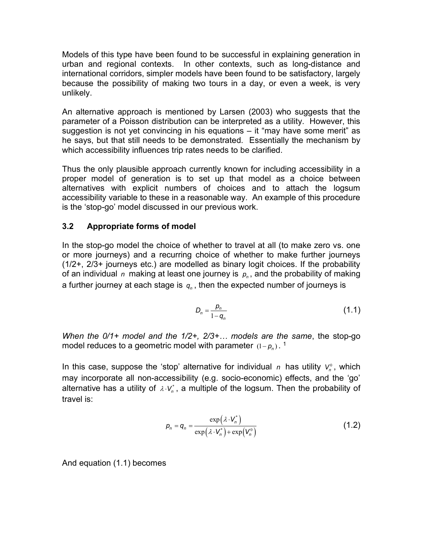Models of this type have been found to be successful in explaining generation in urban and regional contexts. In other contexts, such as long-distance and international corridors, simpler models have been found to be satisfactory, largely because the possibility of making two tours in a day, or even a week, is very unlikely.

An alternative approach is mentioned by Larsen (2003) who suggests that the parameter of a Poisson distribution can be interpreted as a utility. However, this suggestion is not yet convincing in his equations – it "may have some merit" as he says, but that still needs to be demonstrated. Essentially the mechanism by which accessibility influences trip rates needs to be clarified.

Thus the only plausible approach currently known for including accessibility in a proper model of generation is to set up that model as a choice between alternatives with explicit numbers of choices and to attach the logsum accessibility variable to these in a reasonable way. An example of this procedure is the 'stop-go' model discussed in our previous work.

## 3.2 Appropriate forms of model

In the stop-go model the choice of whether to travel at all (to make zero vs. one or more journeys) and a recurring choice of whether to make further journeys (1/2+, 2/3+ journeys etc.) are modelled as binary logit choices. If the probability of an individual  $\,$  making at least one journey is  $\,p_{_{n}}$ , and the probability of making a further journey at each stage is  $\it q_n$  , then the expected number of journeys is

$$
D_n = \frac{p_n}{1 - q_n} \tag{1.1}
$$

When the 0/1+ model and the 1/2+, 2/3+... models are the same, the stop-go model reduces to a geometric model with parameter  $(1-\pmb{\rho}_n)$  .  $^1$ 

In this case, suppose the 'stop' alternative for individual n has utility  $V_n^0$ , which may incorporate all non-accessibility (e.g. socio-economic) effects, and the 'go' alternative has a utility of  $\lambda \cdot V_n^*$  , a multiple of the logsum. Then the probability of travel is: bice of whether to make further journeys<br>
d as binary logit choices. If the probability<br>
ourney is  $\rho_n$ , and the probability of making<br>
en the expected number of journeys is<br>  $=\frac{\rho_n}{1-q_n}$  (1.1)<br>
2/3+... models are the sa

$$
p_n = q_n = \frac{\exp(\lambda \cdot V_n^*)}{\exp(\lambda \cdot V_n^*) + \exp(V_n^0)}
$$
(1.2)

And equation (1.1) becomes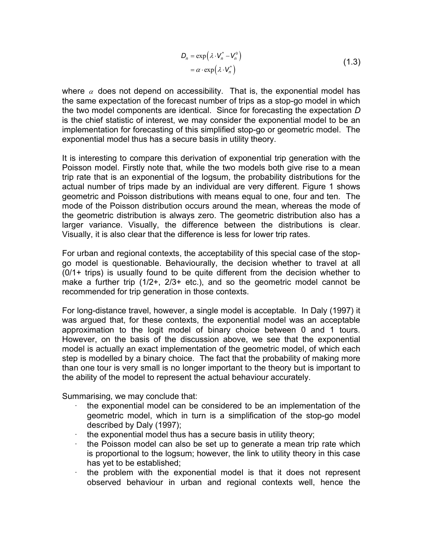$$
D_n = \exp(\lambda \cdot V_n^* - V_n^0)
$$
  
=  $\alpha \cdot \exp(\lambda \cdot V_n^*)$  (1.3)

 $\left(V_n^* - V_n^0\right)$ <br>  $\left(\lambda \cdot V_n^*\right)$ <br>
ty. That is, the exponential model has<br>
ber of trips as a stop-go model in which<br>
Since for forecasting the expectation D where  $\alpha$  does not depend on accessibility. That is, the exponential model has the same expectation of the forecast number of trips as a stop-go model in which the two model components are identical. Since for forecasting the expectation D is the chief statistic of interest, we may consider the exponential model to be an implementation for forecasting of this simplified stop-go or geometric model. The exponential model thus has a secure basis in utility theory.

It is interesting to compare this derivation of exponential trip generation with the Poisson model. Firstly note that, while the two models both give rise to a mean trip rate that is an exponential of the logsum, the probability distributions for the actual number of trips made by an individual are very different. Figure 1 shows geometric and Poisson distributions with means equal to one, four and ten. The mode of the Poisson distribution occurs around the mean, whereas the mode of the geometric distribution is always zero. The geometric distribution also has a larger variance. Visually, the difference between the distributions is clear. Visually, it is also clear that the difference is less for lower trip rates.

For urban and regional contexts, the acceptability of this special case of the stopgo model is questionable. Behaviourally, the decision whether to travel at all (0/1+ trips) is usually found to be quite different from the decision whether to make a further trip (1/2+, 2/3+ etc.), and so the geometric model cannot be recommended for trip generation in those contexts.

For long-distance travel, however, a single model is acceptable. In Daly (1997) it was argued that, for these contexts, the exponential model was an acceptable approximation to the logit model of binary choice between 0 and 1 tours. However, on the basis of the discussion above, we see that the exponential model is actually an exact implementation of the geometric model, of which each step is modelled by a binary choice. The fact that the probability of making more than one tour is very small is no longer important to the theory but is important to the ability of the model to represent the actual behaviour accurately.

Summarising, we may conclude that:

- · the exponential model can be considered to be an implementation of the geometric model, which in turn is a simplification of the stop-go model described by Daly (1997);
- · the exponential model thus has a secure basis in utility theory;
- the Poisson model can also be set up to generate a mean trip rate which is proportional to the logsum; however, the link to utility theory in this case has yet to be established;
- the problem with the exponential model is that it does not represent observed behaviour in urban and regional contexts well, hence the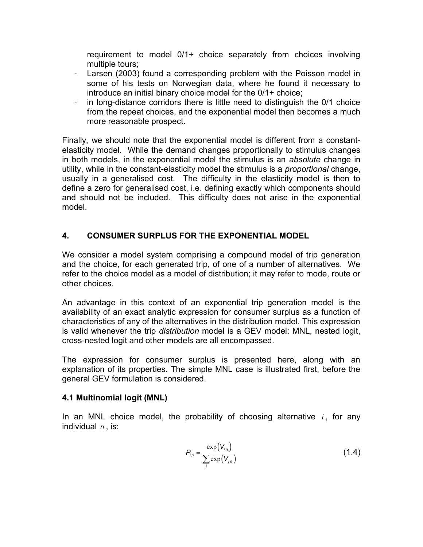requirement to model 0/1+ choice separately from choices involving multiple tours;

- Larsen (2003) found a corresponding problem with the Poisson model in some of his tests on Norwegian data, where he found it necessary to introduce an initial binary choice model for the 0/1+ choice;
- in long-distance corridors there is little need to distinguish the 0/1 choice from the repeat choices, and the exponential model then becomes a much more reasonable prospect.

Finally, we should note that the exponential model is different from a constantelasticity model. While the demand changes proportionally to stimulus changes in both models, in the exponential model the stimulus is an absolute change in utility, while in the constant-elasticity model the stimulus is a *proportional* change, usually in a generalised cost. The difficulty in the elasticity model is then to define a zero for generalised cost, i.e. defining exactly which components should and should not be included. This difficulty does not arise in the exponential model.

## 4. CONSUMER SURPLUS FOR THE EXPONENTIAL MODEL

We consider a model system comprising a compound model of trip generation and the choice, for each generated trip, of one of a number of alternatives. We refer to the choice model as a model of distribution; it may refer to mode, route or other choices.

An advantage in this context of an exponential trip generation model is the availability of an exact analytic expression for consumer surplus as a function of characteristics of any of the alternatives in the distribution model. This expression is valid whenever the trip *distribution* model is a GEV model: MNL, nested logit, cross-nested logit and other models are all encompassed. means), and y set to meas), sense of<br>
onential trip generation model is the<br>
for consumer surplus as a function of<br>
he distribution model. This expression<br>
encompassed.<br>
is presented here, along with an<br>
NL case is illust

The expression for consumer surplus is presented here, along with an explanation of its properties. The simple MNL case is illustrated first, before the general GEV formulation is considered.

#### 4.1 Multinomial logit (MNL)

In an MNL choice model, the probability of choosing alternative  $i$ , for any individual  $n$ , is:

$$
P_{in} = \frac{\exp(V_{in})}{\sum_{j} \exp(V_{in})}
$$
\n(1.4)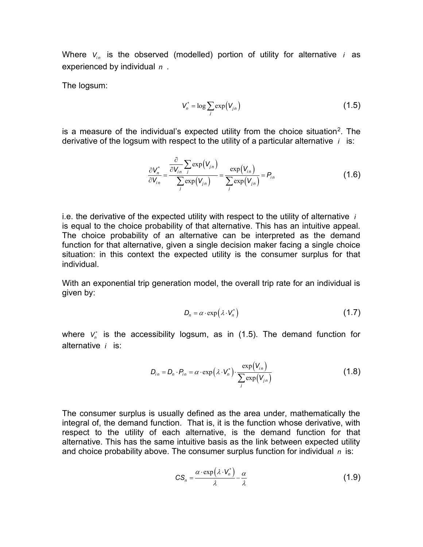Where  $V_{in}$  is the observed (modelled) portion of utility for alternative *i* as experienced by individual  $n$ .

The logsum:

$$
V_n^* = \log \sum_j \exp(V_{jn})
$$
 (1.5)

is a measure of the individual's expected utility from the choice situation<sup>2</sup>. The derivative of the logsum with respect to the utility of a particular alternative  $i$  is:

erved (modelled) portion of utility for alternative *i* as

\nall *n*.

\n
$$
V_n^* = \log \sum_j \exp(V_{j_n})
$$
 (1.5)

\ndividual's expected utility from the choice situation<sup>2</sup>. The

\nwith respect to the utility of a particular alternative *i* is:

\n
$$
\frac{\partial V_n^*}{\partial V_{j_n}} = \frac{\frac{\partial}{\partial V_{j_n}} \sum_j \exp(V_{j_n})}{\sum_j \exp(V_{j_n})} = \frac{\exp(V_{j_n})}{\sum_j \exp(V_{j_n})} = P_{j_n}
$$
 (1.6)

\n*expected utility with respect to the utility of alternative i*.

i.e. the derivative of the expected utility with respect to the utility of alternative  $i$ is equal to the choice probability of that alternative. This has an intuitive appeal. The choice probability of an alternative can be interpreted as the demand function for that alternative, given a single decision maker facing a single choice situation: in this context the expected utility is the consumer surplus for that individual. with respect to the utility of alternative *i*<br>alternative. This has an intuitive appeal.<br>e can be interpreted as the demand<br>e decision maker facing a single choice<br>utility is the consumer surplus for that<br> $\mathbf{H}$ , the o to the utility of alternative *i*<br>This has an intuitive appeal.<br>Interpreted as the demand<br>naker facing a single choice<br>consumer surplus for that<br>Il trip rate for an individual is<br>(1.7)<br>The demand function for<br> $\frac{V_{1n}}{(V_{$ 

With an exponential trip generation model, the overall trip rate for an individual is given by:

$$
D_n = \alpha \cdot \exp\left(\lambda \cdot V_n^*\right) \tag{1.7}
$$

where  $\mathsf{V}_\mathsf{n}^*$  is the accessibility logsum, as in (1.5). The demand function for alternative  $i$  is:

$$
D_{in} = D_n \cdot P_{in} = \alpha \cdot \exp\left(\lambda \cdot V_n^*\right) \cdot \frac{\exp(V_{in})}{\sum_j \exp(V_{jn})}
$$
(1.8)

The consumer surplus is usually defined as the area under, mathematically the integral of, the demand function. That is, it is the function whose derivative, with respect to the utility of each alternative, is the demand function for that alternative. This has the same intuitive basis as the link between expected utility and choice probability above. The consumer surplus function for individual  $n$  is:

$$
CS_n = \frac{\alpha \cdot \exp(\lambda \cdot V_n^*)}{\lambda} - \frac{\alpha}{\lambda}
$$
 (1.9)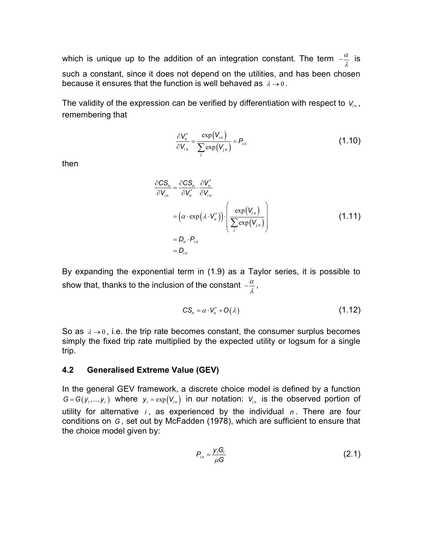which is unique up to the addition of an integration constant. The term  $-\frac{\alpha}{\lambda}$  is such a constant, since it does not depend on the utilities, and has been chosen because it ensures that the function is well behaved as  $\lambda \rightarrow 0$ . integration constant. The term  $-\frac{\alpha}{\lambda}$  is<br>
d on the utilities, and has been chosen<br>
l behaved as  $\lambda \to 0$ .<br>
ed by differentiation with respect to  $V_{i,n}$ ,<br>  $\frac{V_{i,n}}{(V_{j,n})} = P_{i,n}$  (1.10)

The validity of the expression can be verified by differentiation with respect to  $V_{in}$ , remembering that

$$
\frac{\partial V_n^*}{\partial V_{in}} = \frac{\exp(V_{in})}{\sum_j \exp(V_{jn})} = P_{in}
$$
\n(1.10)

then

e addition of an integration constant. The term 
$$
-\frac{\alpha}{\lambda}
$$
 is  
does not depend on the utilities, and has been chosen  
ne function is well behaved as  $\lambda \to 0$ .  
  
sin can be verified by differentiation with respect to  $V_{in}$ ,  
  

$$
\frac{\partial V_n^*}{\partial V_{in}} = \frac{\exp(V_{in})}{\sum_j \exp(V_{in})} = P_{in}
$$
  
(1.10)  
  

$$
\frac{\partial CS_n}{\partial V_{in}} = \frac{\partial CS_n}{\partial V_n^*} \cdot \frac{\partial V_n^*}{\partial V_{in}}
$$
  

$$
= (\alpha \cdot \exp(\lambda \cdot V_n^*)) \cdot \left(\frac{\exp(V_{in})}{\sum_j \exp(V_{in})}\right)
$$
  

$$
= D_n \cdot P_{in}
$$
  

$$
= D_{in}
$$

By expanding the exponential term in (1.9) as a Taylor series, it is possible to show that, thanks to the inclusion of the constant  $-\frac{\alpha}{\lambda}$  ,

$$
CS_n = \alpha \cdot V_n^* + O(\lambda) \tag{1.12}
$$

So as  $\lambda \rightarrow 0$ , i.e. the trip rate becomes constant, the consumer surplus becomes simply the fixed trip rate multiplied by the expected utility or logsum for a single trip.

#### 4.2 Generalised Extreme Value (GEV)

In the general GEV framework, a discrete choice model is defined by a function  $G = G(y_1,..., y_r)$  where  $y_i = \exp(V_{in})$  in our notation:  $V_{in}$  is the observed portion of utility for alternative  $i$ , as experienced by the individual  $n$ . There are four conditions on G , set out by McFadden (1978), which are sufficient to ensure that the choice model given by:

$$
P_{in} = \frac{y_i G_i}{\mu G} \tag{2.1}
$$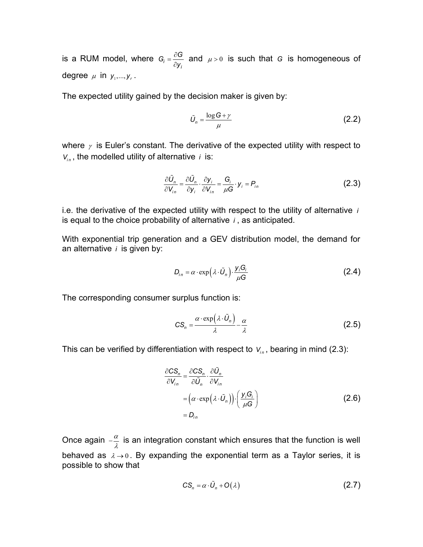is a RUM model, where  $G_i = \frac{\partial G}{\partial y_i}$  $G_i = \frac{\partial G}{\partial y_i}$  $\frac{\partial G}{\partial y_i}$  and  $\mu > 0$  is such that G is homogeneous of degree  $\mu$  in  $y_1, ..., y_r$ .

The expected utility gained by the decision maker is given by:

$$
\tilde{U}_n = \frac{\log G + \gamma}{\mu} \tag{2.2}
$$

where  $\gamma$  is Euler's constant. The derivative of the expected utility with respect to  $V_{in}$ , the modelled utility of alternative *i* is: cision maker is given by:<br>  $=\frac{\log G + \gamma}{\mu}$  (2.2)<br>
ivative of the expected utility with respect to<br> *i* is:<br>  $\frac{\partial y_i}{\partial V_{i_n}} = \frac{G_i}{\mu G} \cdot y_i = P_{i_n}$  (2.3)<br>
lity with respect to the utility of alternative *i*<br>
ternative *i*, a

$$
\frac{\partial \tilde{U}_n}{\partial V_{in}} = \frac{\partial \tilde{U}_n}{\partial y_i} \cdot \frac{\partial y_i}{\partial V_{in}} = \frac{G_i}{\mu G} \cdot y_i = P_{in}
$$
 (2.3)

i.e. the derivative of the expected utility with respect to the utility of alternative  $i$ is equal to the choice probability of alternative  $i$ , as anticipated.

With exponential trip generation and a GEV distribution model, the demand for an alternative  $i$  is given by:

$$
D_{in} = \alpha \cdot \exp\left(\lambda \cdot \tilde{U}_n\right) \cdot \frac{y_i G_i}{\mu G} \tag{2.4}
$$

The corresponding consumer surplus function is:

$$
CS_n = \frac{\alpha \cdot \exp\left(\lambda \cdot \tilde{U}_n\right)}{\lambda} - \frac{\alpha}{\lambda} \tag{2.5}
$$

This can be verified by differentiation with respect to  $V_{in}$ , bearing in mind (2.3):

ability of alternative *i*, as anticipated.

\nation and a GEV distribution model, the demand for

\n
$$
D_{in} = \alpha \cdot \exp\left(\lambda \cdot \tilde{U}_n\right) \cdot \frac{y_i G_i}{\mu G} \tag{2.4}
$$
\ner surplus function is:

\n
$$
CS_n = \frac{\alpha \cdot \exp\left(\lambda \cdot \tilde{U}_n\right)}{\lambda} - \frac{\alpha}{\lambda} \tag{2.5}
$$
\nentiation with respect to

\n
$$
V_{in}
$$
, bearing in mind (2.3):\n
$$
\frac{\partial CS_n}{\partial V_{in}} = \frac{\partial CS_n}{\partial \tilde{U}_n} \cdot \frac{\partial \tilde{U}_n}{\partial V_{in}} \tag{2.6}
$$
\n
$$
= Q_{in}
$$
\nation constant which ensures that the function is well.

Once again  $-\frac{\alpha}{\lambda}$  is an integration constant which ensures that the function is well behaved as  $\lambda \rightarrow 0$ . By expanding the exponential term as a Taylor series, it is possible to show that

$$
CS_n = \alpha \cdot \tilde{U}_n + O(\lambda) \tag{2.7}
$$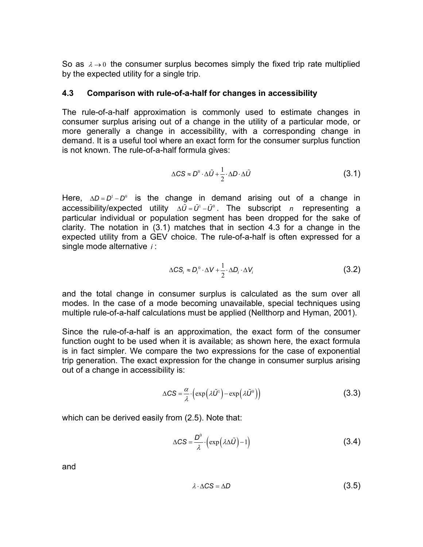So as  $\lambda \rightarrow 0$  the consumer surplus becomes simply the fixed trip rate multiplied by the expected utility for a single trip.

#### 4.3 Comparison with rule-of-a-half for changes in accessibility

The rule-of-a-half approximation is commonly used to estimate changes in consumer surplus arising out of a change in the utility of a particular mode, or more generally a change in accessibility, with a corresponding change in demand. It is a useful tool where an exact form for the consumer surplus function is not known. The rule-of-a-half formula gives:

$$
\Delta CS \approx D^0 \cdot \Delta \tilde{U} + \frac{1}{2} \cdot \Delta D \cdot \Delta \tilde{U}
$$
 (3.1)

Here,  $\Delta D = D^1 - D^0$  is the change in demand arising out of a change in accessibility/expected utility  $\Delta \tilde{U} = \tilde{U}^1 - \tilde{U}^0$ . The subscript n representing a particular individual or population segment has been dropped for the sake of clarity. The notation in (3.1) matches that in section 4.3 for a change in the expected utility from a GEV choice. The rule-of-a-half is often expressed for a single mode alternative  $i$ :

$$
\Delta CS_i \approx D_i^0 \cdot \Delta V + \frac{1}{2} \cdot \Delta D_i \cdot \Delta V_i
$$
 (3.2)

and the total change in consumer surplus is calculated as the sum over all modes. In the case of a mode becoming unavailable, special techniques using multiple rule-of-a-half calculations must be applied (Nellthorp and Hyman, 2001).

Since the rule-of-a-half is an approximation, the exact form of the consumer function ought to be used when it is available; as shown here, the exact formula is in fact simpler. We compare the two expressions for the case of exponential trip generation. The exact expression for the change in consumer surplus arising out of a change in accessibility is: segment has been dropped for the sake of<br>hes that in section 4.3 for a change in the<br>p. The rule-of-a-half is often expressed for a<br> $D_i^0 \cdot \Delta V + \frac{1}{2} \cdot \Delta D_i \cdot \Delta V_i$  (3.2)<br>r surplus is calculated as the sum over all<br>coming  $\frac{1}{2} \Delta D_i \Delta V_i$  (3.2)<br>
us is calculated as the sum over all<br>
unavailable, special techniques using<br>
applied (Nellthorp and Hyman, 2001).<br>
on, the exact form of the consumer<br>
ble; as shown here, the exact formula<br>
pressi

$$
\Delta CS = \frac{\alpha}{\lambda} \cdot \left( \exp\left(\lambda \tilde{U}^1\right) - \exp\left(\lambda \tilde{U}^0\right) \right) \tag{3.3}
$$

which can be derived easily from (2.5). Note that:

$$
\Delta CS = \frac{D^0}{\lambda} \cdot \left( \exp\left(\lambda \Delta \tilde{U}\right) - 1\right)
$$
 (3.4)

and

$$
\lambda \cdot \Delta CS = \Delta D \tag{3.5}
$$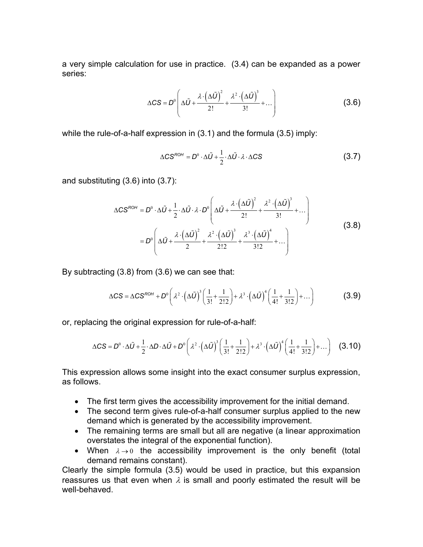a very simple calculation for use in practice. (3.4) can be expanded as a power series:

$$
\Delta CS = D^0 \left( \Delta \tilde{U} + \frac{\lambda \cdot (\Delta \tilde{U})^2}{2!} + \frac{\lambda^2 \cdot (\Delta \tilde{U})^3}{3!} + \dots \right)
$$
 (3.6)

while the rule-of-a-half expression in (3.1) and the formula (3.5) imply:

$$
\Delta CS^{ROH} = D^0 \cdot \Delta \tilde{U} + \frac{1}{2} \cdot \Delta \tilde{U} \cdot \lambda \cdot \Delta CS
$$
 (3.7)

and substituting (3.6) into (3.7):

calculation for use in practice. (3.4) can be expanded as a power  
\n
$$
\Delta CS = D^0 \left( \Delta \tilde{U} + \frac{\lambda \cdot (\Delta \tilde{U})^2}{2!} + \frac{\lambda^2 \cdot (\Delta \tilde{U})^3}{3!} + \dots \right)
$$
\n(3.6)  
\nof-a-half expression in (3.1) and the formula (3.5) imply:  
\n
$$
\Delta CS^{nont} = D^0 \cdot \Delta \tilde{U} + \frac{1}{2} \cdot \Delta \tilde{U} \cdot \lambda \cdot \Delta CS
$$
\n(3.7)  
\n
$$
\Delta CS^{nont} = D^0 \cdot \Delta \tilde{U} + \frac{1}{2} \cdot \Delta \tilde{U} \cdot \lambda \cdot D^0 \left( \Delta \tilde{U} + \frac{\lambda \cdot (\Delta \tilde{U})^2}{2!} + \frac{\lambda^2 \cdot (\Delta \tilde{U})^3}{3!} + \dots \right)
$$
\n(3.8)  
\n
$$
= D^0 \left( \Delta \tilde{U} + \frac{\lambda \cdot (\Delta \tilde{U})^2}{2} + \frac{\lambda^2 \cdot (\Delta \tilde{U})^3}{2!2} + \frac{\lambda^3 \cdot (\Delta \tilde{U})^4}{3!2} + \dots \right)
$$
\n(3.8)  
\n(3.8) from (3.6) we can see that:  
\n
$$
CS = \Delta CS^{nont} + D^0 \left( \lambda^2 \cdot (\Delta \tilde{U})^3 \left( \frac{1}{3!} + \frac{1}{2!2} \right) + \lambda^3 \cdot (\Delta \tilde{U})^4 \left( \frac{1}{4!} + \frac{1}{3!2} \right) + \dots \right)
$$
\n(3.9)  
\nthe original expression for rule-of-a-half:  
\n
$$
D^0 \cdot \Delta \tilde{U} + \frac{1}{2} \cdot \Delta D \cdot \Delta \tilde{U} + D^0 \left( \lambda^2 \cdot (\Delta \tilde{U})^3 \left( \frac{1}{3!} + \frac{1}{2!2} \right) + \lambda^3 \cdot (\Delta \tilde{U})^4 \left( \frac{1}{4!} + \frac{1}{3!2} \right) + \dots \right)
$$
\n(3.10)  
\non allows some insight into the exact consumer surplus expression,

By subtracting (3.8) from (3.6) we can see that:

$$
\Delta CS = \Delta CS^{ROH} + D^0 \left( \lambda^2 \cdot \left( \Delta \tilde{U} \right)^3 \left( \frac{1}{3!} + \frac{1}{2!2} \right) + \lambda^3 \cdot \left( \Delta \tilde{U} \right)^4 \left( \frac{1}{4!} + \frac{1}{3!2} \right) + \dots \right)
$$
(3.9)

or, replacing the original expression for rule-of-a-half:

$$
\Delta CS = D^0 \cdot \Delta \tilde{U} + \frac{1}{2} \cdot \Delta D \cdot \Delta \tilde{U} + D^0 \left( \lambda^2 \cdot \left( \Delta \tilde{U} \right)^3 \left( \frac{1}{3!} + \frac{1}{2!2} \right) + \lambda^3 \cdot \left( \Delta \tilde{U} \right)^4 \left( \frac{1}{4!} + \frac{1}{3!2} \right) + \dots \right) \quad (3.10)
$$

This expression allows some insight into the exact consumer surplus expression, as follows.

- The first term gives the accessibility improvement for the initial demand.
- The second term gives rule-of-a-half consumer surplus applied to the new demand which is generated by the accessibility improvement.
- The remaining terms are small but all are negative (a linear approximation overstates the integral of the exponential function).
- When  $\lambda \rightarrow 0$  the accessibility improvement is the only benefit (total demand remains constant).

Clearly the simple formula (3.5) would be used in practice, but this expansion reassures us that even when  $\lambda$  is small and poorly estimated the result will be well-behaved.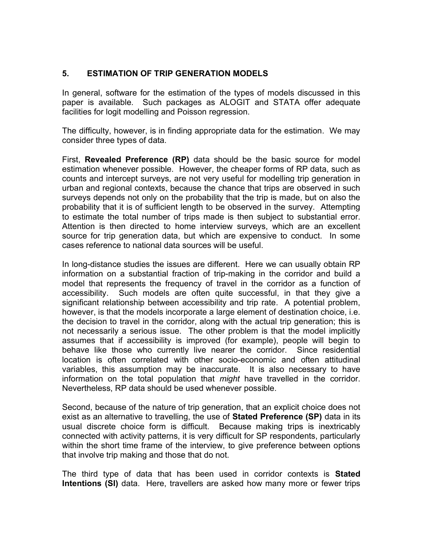## 5. ESTIMATION OF TRIP GENERATION MODELS

In general, software for the estimation of the types of models discussed in this paper is available. Such packages as ALOGIT and STATA offer adequate facilities for logit modelling and Poisson regression.

The difficulty, however, is in finding appropriate data for the estimation. We may consider three types of data.

First, Revealed Preference (RP) data should be the basic source for model estimation whenever possible. However, the cheaper forms of RP data, such as counts and intercept surveys, are not very useful for modelling trip generation in urban and regional contexts, because the chance that trips are observed in such surveys depends not only on the probability that the trip is made, but on also the probability that it is of sufficient length to be observed in the survey. Attempting to estimate the total number of trips made is then subject to substantial error. Attention is then directed to home interview surveys, which are an excellent source for trip generation data, but which are expensive to conduct. In some cases reference to national data sources will be useful.

In long-distance studies the issues are different. Here we can usually obtain RP information on a substantial fraction of trip-making in the corridor and build a model that represents the frequency of travel in the corridor as a function of accessibility. Such models are often quite successful, in that they give a significant relationship between accessibility and trip rate. A potential problem, however, is that the models incorporate a large element of destination choice, i.e. the decision to travel in the corridor, along with the actual trip generation; this is not necessarily a serious issue. The other problem is that the model implicitly assumes that if accessibility is improved (for example), people will begin to behave like those who currently live nearer the corridor. Since residential location is often correlated with other socio-economic and often attitudinal variables, this assumption may be inaccurate. It is also necessary to have information on the total population that *might* have travelled in the corridor. Nevertheless, RP data should be used whenever possible.

Second, because of the nature of trip generation, that an explicit choice does not exist as an alternative to travelling, the use of **Stated Preference (SP)** data in its usual discrete choice form is difficult. Because making trips is inextricably connected with activity patterns, it is very difficult for SP respondents, particularly within the short time frame of the interview, to give preference between options that involve trip making and those that do not.

The third type of data that has been used in corridor contexts is **Stated** Intentions (SI) data. Here, travellers are asked how many more or fewer trips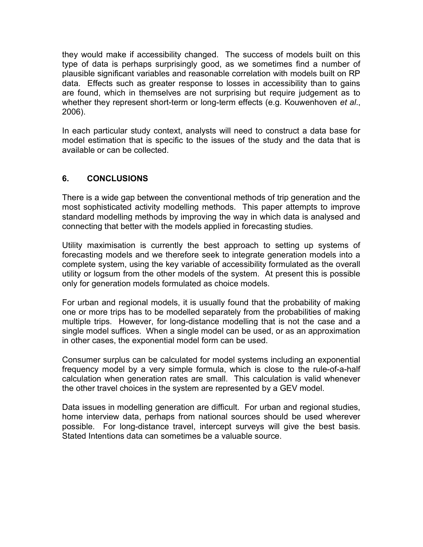they would make if accessibility changed. The success of models built on this type of data is perhaps surprisingly good, as we sometimes find a number of plausible significant variables and reasonable correlation with models built on RP data. Effects such as greater response to losses in accessibility than to gains are found, which in themselves are not surprising but require judgement as to whether they represent short-term or long-term effects (e.g. Kouwenhoven et al., 2006).

In each particular study context, analysts will need to construct a data base for model estimation that is specific to the issues of the study and the data that is available or can be collected.

## 6. CONCLUSIONS

There is a wide gap between the conventional methods of trip generation and the most sophisticated activity modelling methods. This paper attempts to improve standard modelling methods by improving the way in which data is analysed and connecting that better with the models applied in forecasting studies.

Utility maximisation is currently the best approach to setting up systems of forecasting models and we therefore seek to integrate generation models into a complete system, using the key variable of accessibility formulated as the overall utility or logsum from the other models of the system. At present this is possible only for generation models formulated as choice models.

For urban and regional models, it is usually found that the probability of making one or more trips has to be modelled separately from the probabilities of making multiple trips. However, for long-distance modelling that is not the case and a single model suffices. When a single model can be used, or as an approximation in other cases, the exponential model form can be used.

Consumer surplus can be calculated for model systems including an exponential frequency model by a very simple formula, which is close to the rule-of-a-half calculation when generation rates are small. This calculation is valid whenever the other travel choices in the system are represented by a GEV model.

Data issues in modelling generation are difficult. For urban and regional studies, home interview data, perhaps from national sources should be used wherever possible. For long-distance travel, intercept surveys will give the best basis. Stated Intentions data can sometimes be a valuable source.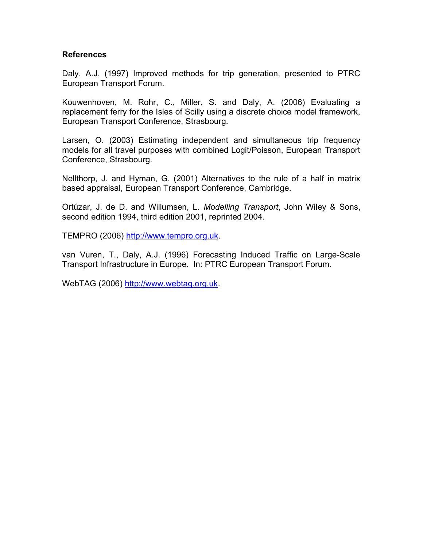#### References

Daly, A.J. (1997) Improved methods for trip generation, presented to PTRC European Transport Forum.

Kouwenhoven, M. Rohr, C., Miller, S. and Daly, A. (2006) Evaluating a replacement ferry for the Isles of Scilly using a discrete choice model framework, European Transport Conference, Strasbourg.

Larsen, O. (2003) Estimating independent and simultaneous trip frequency models for all travel purposes with combined Logit/Poisson, European Transport Conference, Strasbourg.

Nellthorp, J. and Hyman, G. (2001) Alternatives to the rule of a half in matrix based appraisal, European Transport Conference, Cambridge.

Ortúzar, J. de D. and Willumsen, L. Modelling Transport, John Wiley & Sons, second edition 1994, third edition 2001, reprinted 2004.

TEMPRO (2006) http://www.tempro.org.uk.

van Vuren, T., Daly, A.J. (1996) Forecasting Induced Traffic on Large-Scale Transport Infrastructure in Europe. In: PTRC European Transport Forum.

WebTAG (2006) http://www.webtag.org.uk.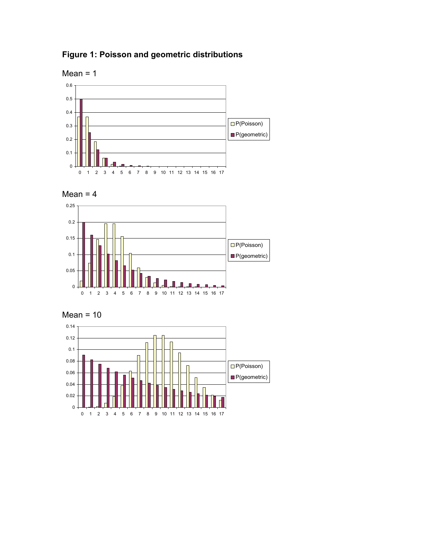